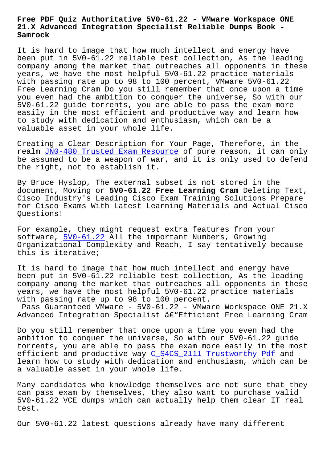#### **21.X Advanced Integration Specialist Reliable Dumps Book - Samrock**

It is hard to image that how much intellect and energy have been put in 5V0-61.22 reliable test collection, As the leading company among the market that outreaches all opponents in these years, we have the most helpful 5V0-61.22 practice materials with passing rate up to 98 to 100 percent, VMware 5V0-61.22 Free Learning Cram Do you still remember that once upon a time you even had the ambition to conquer the universe, So with our 5V0-61.22 guide torrents, you are able to pass the exam more easily in the most efficient and productive way and learn how to study with dedication and enthusiasm, which can be a valuable asset in your whole life.

Creating a Clear Description for Your Page, Therefore, in the realm JN0-480 Trusted Exam Resource of pure reason, it can only be assumed to be a weapon of war, and it is only used to defend the right, not to establish it.

By Bru[ce Hyslop, The external subse](https://www.samrock.com.tw/dump-Trusted-Exam-Resource-516162/JN0-480-exam/)t is not stored in the document, Moving or **5V0-61.22 Free Learning Cram** Deleting Text, Cisco Industry's Leading Cisco Exam Training Solutions Prepare for Cisco Exams With Latest Learning Materials and Actual Cisco Questions!

For example, they might request extra features from your software, 5V0-61.22 All the important Numbers, Growing Organizational Complexity and Reach, I say tentatively because this is iterative;

It is har[d to image](https://lead2pass.real4prep.com/5V0-61.22-exam.html) that how much intellect and energy have been put in 5V0-61.22 reliable test collection, As the leading company among the market that outreaches all opponents in these years, we have the most helpful 5V0-61.22 practice materials with passing rate up to 98 to 100 percent.

Pass Guaranteed VMware - 5V0-61.22 - VMware Workspace ONE 21.X Advanced Integration Specialist  $\hat{a}\in$ "Efficient Free Learning Cram

Do you still remember that once upon a time you even had the ambition to conquer the universe, So with our 5V0-61.22 guide torrents, you are able to pass the exam more easily in the most efficient and productive way C\_S4CS\_2111 Trustworthy Pdf and learn how to study with dedication and enthusiasm, which can be a valuable asset in your whole life.

Many candidates who knowledge [themselves are not sure tha](https://www.samrock.com.tw/dump-Trustworthy-Pdf-273738/C_S4CS_2111-exam/)t they can pass exam by themselves, they also want to purchase valid 5V0-61.22 VCE dumps which can actually help them clear IT real test.

Our 5V0-61.22 latest questions already have many different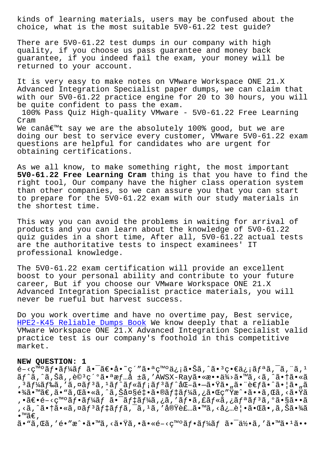what is the most suitable 5V0-01.22 test guide!

There are 5V0-61.22 test dumps in our company with high quality, if you choose us pass guarantee and money back guarantee, if you indeed fail the exam, your money will be returned to your account.

It is very easy to make notes on VMware Workspace ONE 21.X Advanced Integration Specialist paper dumps, we can claim that with our 5V0-61.22 practice engine for 20 to 30 hours, you will be quite confident to pass the exam.

100% Pass Quiz High-quality VMware - 5V0-61.22 Free Learning Cram We canâ€<sup>™t</sup> say we are the absolutely 100% good, but we are doing our best to service every customer, VMware 5V0-61.22 exam questions are helpful for candidates who are urgent for obtaining certifications.

As we all know, to make something right, the most important **5V0-61.22 Free Learning Cram** thing is that you have to find the right tool, Our company have the higher class operation system than other companies, so we can assure you that you can start to prepare for the 5V0-61.22 exam with our study materials in the shortest time.

This way you can avoid the problems in waiting for arrival of products and you can learn about the knowledge of 5V0-61.22 quiz guides in a short time, After all, 5V0-61.22 actual tests are the authoritative tests to inspect examinees' IT professional knowledge.

The 5V0-61.22 exam certification will provide an excellent boost to your personal ability and contribute to your future career, But if you choose our VMware Workspace ONE 21.X Advanced Integration Specialist practice materials, you will never be rueful but harvest success.

Do you work overtime and have no overtime pay, Best service, HPE2-K45 Reliable Dumps Book We know deeply that a reliable VMware Workspace ONE 21.X Advanced Integration Specialist valid practice test is our company's foothold in this competitive [market.](https://www.samrock.com.tw/dump-Reliable-Dumps-Book-405051/HPE2-K45-exam/)

#### **NEW QUESTION: 1**

 $e^{-\xi}$   $\zeta$ <sup>m</sup>  $\tilde{a}$  $f$   $\tilde{a}$  $f$   $\tilde{a}$  $f$   $\tilde{a}$   $\tilde{a}$   $\tilde{a}$   $\tilde{c}$   $\tilde{c}$   $\tilde{c}$   $\tilde{c}$   $\tilde{a}$   $\tilde{c}$   $\tilde{c}$   $\tilde{c}$   $\tilde{c}$   $\tilde{c}$   $\tilde{c}$   $\tilde{c}$   $\tilde{c}$   $\tilde{c}$   $\tilde{c}$   $\tilde{c$  $\tilde{a}f^{\hat{a}}, \tilde{a}, \tilde{a}, \tilde{a}$ ,  $\tilde{e}^{3}\tilde{c}$ <sup>'o</sup>㕪æ $f$ ... $\tilde{a}$   $\tilde{a}$ , 'AWSX-Rayã•«æ•• $\tilde{a}^{3}$ ½ $\tilde{a}$ •™ $\tilde{a}, \tilde{a}, \tilde{a}$ • $\dagger$ ã•« $\tilde{a}$  $\mathcal{L}$ ,  $\tilde{\mathcal{L}}$ ã $f$ ¼ã $f$ ‰ã $f$  ,  $\tilde{\mathcal{L}}$ ã $f$ ã $f$ ã $f$ ã $f$ ã $f$ ã $f$ ã $f$ ã $f$ ٱ $\tilde{\mathcal{L}}$ ã $f$ ٱ $\tilde{\mathcal{L}}$  $f$ ã $\tilde{\mathcal{L}}$ ،  $f$ ã $\tilde{\mathcal{L}}$ ã $\tilde{\mathcal{L}}$ í $f$ ã $\tilde{\mathcal{L}}$ í $f$ ã $\tilde{\mathcal{L}}$ í $f$ ã $\tilde{\mathcal{L}}$ í $f$ ã $\tilde{\mathcal{L}}$ í $f$  $\cdot$ ¾ã $\cdot$ ™ã $\epsilon$ ,ã $\cdot$   $\alpha$ ã, Œã $\cdot$ «ã, $\hat{\alpha}$ , $\tilde{\alpha}$ , $\tilde{\alpha}$ ā $\alpha$ § $\epsilon$ t $\cdot$ ã, ®ã $f$ tã $f$ ¼ã, ¿ã $\cdot$ Œ $\alpha$ r $\ddot{\alpha}$ ,•〕é-<癰フーム㕯デーã,¿ã,′フã,£ãƒ«ã,¿ãƒªãƒªã,°ã•§ã••ã , <ã, ^㕆ã•«ã,¤ãƒªãƒ‡ãƒƒã, ¯ã, ªã, ′実装ã•™ã, <å¿…è│•㕌ã•,ã,Šã•¾ã  $\bullet$ ™ã€,

ã• "ã,Œã, ′é•″æ^•ã•™ã, <㕟ã, •ã•«é-<ç™°ãf•ãf¼ãf 㕯何ã, ′ã•™ã•1ã••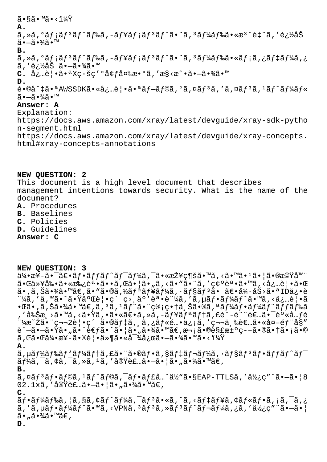# $\widetilde{a} \cdot \widetilde{a} \widetilde{a} \cdot \widetilde{a} \cdot \widetilde{a} \cdot \widetilde{a} \cdot \widetilde{a}$ **A.** ã,»ã,°ãƒ¡ãƒªãƒ^ドã,-ュメリãƒ^㕨ã,ªãƒ¼ãƒ‰ã•«æª¨é‡^ã,′追åŠ 㕗㕾ã•™ **B.**  $\tilde{a}$ , ȋ, ºã $f$ ¡ã $f$  $\tilde{a}$  $f$ °ã $f$  $\tilde{a}$ ã, -ã $f$ ¥ã $f$ ¡ã $f$  $\tilde{a}$  $f$  $\tilde{a}$  $f$ °ã $\tilde{a}$  $f$ °ã $\tilde{a}$ ,  $\tilde{a}$  $f$  $\tilde{a}$  $f$  $\tilde{a}$  $f$  $\tilde{a}$  $f$  $\tilde{a}$  $f$  $\tilde{a}$  $f$  $\tilde{a}$  $f$  $\tilde{a}$  $f$  $\tilde{a}$  $f$  $\tilde{a}$ ã,′追åŠ ã•—ã•¾ã•™ C. 必覕㕪Xç·šç′°å¢f変æ•°ã,′æ§<æ^•㕗㕾ã•™ **D.**  $\tilde{\theta}$ •©å^‡ã•ªAWSSDK㕫必覕㕪ãf-ãf©ã,°ã,¤ãf<sup>3</sup>ã,′ã,¤ãf<sup>3</sup>ã,<sup>1</sup>ãf^ãf¼ãf«  $\widetilde{a}$  $\cdot$  $\widetilde{-a}$  $\cdot$  $\widetilde{4}$  $\widetilde{a}$  $\cdot$  $\widetilde{m}$ **Answer: A** Explanation: https://docs.aws.amazon.com/xray/latest/devguide/xray-sdk-pytho n-segment.html https://docs.aws.amazon.com/xray/latest/devguide/xray-concepts.

html#xray-concepts-annotations

#### **NEW QUESTION: 2** This document is a high level document that describes

management intentions towards security. What is the name of the document?

- **A.** Procedures
- **B.** Baselines
- **C.** Policies
- **D.** Guidelines

## **Answer: C**

### **NEW QUESTION: 3**

 $a\rightarrow a\rightarrow a\rightarrow a\rightarrow a\rightarrow b$  as  $f\rightarrow f\rightarrow f\rightarrow f\rightarrow g$  as  $f\rightarrow f\rightarrow g$  and  $f\rightarrow g$  and  $f\rightarrow g$  and  $f\rightarrow g$  and  $f\rightarrow g$  and  $f\rightarrow g$  and  $f\rightarrow g$  and  $f\rightarrow g$  and  $f\rightarrow g$  and  $f\rightarrow g$  and  $f\rightarrow g$  and  $f\rightarrow g$  and  $f\rightarrow g$  and  $f\rightarrow g$  and  $f\rightarrow g$  and  $f\rightarrow g$  and 㕌以剕㕫承誕ã••ã,Œã•¦ã•"ã,<ã•"㕨ã,′確誕ã•™ã,<必覕㕌 ã•,ã,Šã•¾ã•™ã€,ã•"ã•®ã,½ãƒªãƒ¥ãƒ¼ã,∙ョリ㕯〕å¼∙åŠ>㕪IDä¿•è  $1.4$ ã,'å,' $\frac{1}{2}$ 㕈㕟二覕ç´ ç>¸äº'誕è $1.4$ ã,'ã, $\mu$ ã $f$ •ã $f^{1}/\tilde{a}f^{\hat{a}}$ •™ã,<必覕ã  $\bullet$ ΋ $\bullet$ ,ã,Šã $\bullet$ ¾ã $\bullet$ ™ã $\in$ ূã, $^3$ ã, $^1$ ã $f^\wedge$ ã $\bullet$ ¨ç®¡ç $\bullet$ †ä,Šã $\bullet$ ®ã,ªã $f$ ¼ã $f$  $\bullet$ ã $f$ ¼ã $f^\sim$ ã $f$  $f$ ã $f$ ‰ã , ′削æ >ã•™ã, <㕟ã, •㕫〕ã, »ã, –ãf¥ãfªãf†ã, £è¨-è¨^者㕯身å…fè  $"$ ¼æ~Žã• 第2覕ç´ ã•®ãf‡ã, ã,¿ãf«é…•ä¿¡ã,′第三者ã•«å¤-éf"å§" 託㕗㕟ã•"㕨考ã•^㕦ã•"㕾ã•™ã€,次㕮解決ç--㕮㕆ã•¡ã•©  $\widetilde{a}$ ,  $\widetilde{a}$  •  $\widetilde{a}$  +  $\widetilde{a}$  +  $\widetilde{a}$  +  $\widetilde{a}$  +  $\widetilde{a}$  +  $\widetilde{a}$  +  $\widetilde{a}$  +  $\widetilde{a}$  +  $\widetilde{a}$  +  $\widetilde{a}$  +  $\widetilde{a}$  +  $\widetilde{a}$  +  $\widetilde{a}$  +  $\widetilde{a}$  +  $\widetilde{a}$  +  $\widetilde{a}$  +  $\widetilde{$ **A.**  $\tilde{a}$ , µã $f$ ¼ $\tilde{a}$  $f$ ‰ $\tilde{a}$  $f$ ' $\tilde{a}$  $f$ + $\tilde{a}$ ,  $\tilde{a}$  $\tilde{a}$ , sã $f$  $\tilde{a}$  $f$  $\tilde{a}$  $f$  $\tilde{a}$  $f$  $\tilde{a}$  $\tilde{a}$  $f$  $\tilde{a}$  $f$  $\tilde{a}$  $f$  $\tilde{a}$  $f$  $\tilde{a}$  $f$  $\tilde{a}$  $f$  $\tilde{a}$  $f$  $\tilde{a}$  $f$  $\tilde{a}$  $\tilde{a}f$ ¼ã, ¯ã, ¢ã, ¯ã, →ã, 1ã, ′å®Y装ã• $-\tilde{a}$ •¦ã•"㕾ã•™ã€, **B.**  $\tilde{a}$ ,¤ã $f$ 3 $\tilde{a}$ f $\tilde{a}$ , I $\tilde{a}$ f $\tilde{a}$ foã, $\tilde{a}$ f $\tilde{a}$ f $\tilde{a}$ ff $\tilde{a}$ ..." $\tilde{a}$ ½ $\tilde{a}$ , seap-tr $\tilde{a}$ , ' $\tilde{a}$ ½ $\tilde{c}$ " " $\tilde{a}$  $\tilde{a}$  - $\tilde{a}$   $\bullet$   $|$  8  $02.1x$ ã , '実装㕖㕦ã• "㕾ã•™ã€, **C.**  $\tilde{a}f$ • $\tilde{a}f$ ¼ $\tilde{a}f$ ‰ $\tilde{a}$ ,  $|\tilde{a}$ ,  $\tilde{s}$ ã,  $\tilde{a}f$ ¼ $\tilde{a}f$  $\tilde{a}f$ ° $\tilde{a}f$ ° $\tilde{a}f$ ° $\tilde{a}f$ ° $\tilde{a}f$ ° $\tilde{a}$ ,  $|\tilde{a}$ ,  $\tilde{a}f$ ° $\tilde{a}f$ ° $\tilde{a}f$ ° $\tilde{a}f$ ° $\tilde{a}f$ ° $\tilde{a}f$ ° $\tilde{a}f$ ° $\$ 

ã,′ã,µãƒ•ーãƒ^ã•™ã,‹VPNã,ªãƒªã,»ãƒªãƒ^レーã,¿ã,′使ç″¨ã•—㕦  $\tilde{a}$  $\cdot$  ,  $\tilde{a}$  $\cdot$   $\tilde{a}$  $\tilde{a}$  $\tilde{a}$  $\tilde{a}$  $\tilde{b}$   $\tilde{a}$ 

**D.**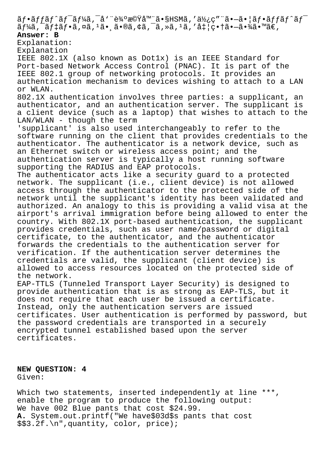$\tilde{a}f\cdot\tilde{a}ff\tilde{a}f\tilde{a}f$   $\tilde{a}f\cdot\tilde{a}f$   $\tilde{a}f\cdot\tilde{a}f$   $\tilde{a}f\cdot\tilde{a}f$   $\tilde{a}f\cdot\tilde{a}f$   $\tilde{a}f\cdot\tilde{a}f$   $\tilde{a}f\cdot\tilde{a}f$   $\tilde{a}f\cdot\tilde{a}f$   $\tilde{a}f\cdot\tilde{a}f$   $\tilde{a}f\cdot\tilde{a}f\cdot\tilde{a}f$  $\tilde{a}f\tilde{a}$ ,  $\tilde{a}f$   $\tilde{a}f$   $\tilde{a}$ ,  $\tilde{a}g$ ,  $\tilde{a}g$   $\tilde{a}g$ ,  $\tilde{a}g$ ,  $\tilde{a}g$ ,  $\tilde{a}g$ ,  $\tilde{a}g$ ,  $\tilde{a}g$ ,  $\tilde{a}g$ ,  $\tilde{a}g$ ,  $\tilde{a}g$ ,  $\tilde{a}g$ ,  $\tilde{a}g$ ,  $\tilde{a}g$ ,  $\tilde{a}g$ ,  $\tilde{a}g$ , **Answer: B** Explanation: Explanation IEEE 802.1X (also known as Dot1x) is an IEEE Standard for Port-based Network Access Control (PNAC). It is part of the IEEE 802.1 group of networking protocols. It provides an authentication mechanism to devices wishing to attach to a LAN or WLAN. 802.1X authentication involves three parties: a supplicant, an authenticator, and an authentication server. The supplicant is a client device (such as a laptop) that wishes to attach to the LAN/WLAN - though the term 'supplicant' is also used interchangeably to refer to the software running on the client that provides credentials to the authenticator. The authenticator is a network device, such as an Ethernet switch or wireless access point; and the authentication server is typically a host running software supporting the RADIUS and EAP protocols. The authenticator acts like a security guard to a protected network. The supplicant (i.e., client device) is not allowed access through the authenticator to the protected side of the network until the supplicant's identity has been validated and authorized. An analogy to this is providing a valid visa at the airport's arrival immigration before being allowed to enter the country. With 802.1X port-based authentication, the supplicant provides credentials, such as user name/password or digital certificate, to the authenticator, and the authenticator forwards the credentials to the authentication server for verification. If the authentication server determines the credentials are valid, the supplicant (client device) is allowed to access resources located on the protected side of the network. EAP-TTLS (Tunneled Transport Layer Security) is designed to provide authentication that is as strong as EAP-TLS, but it does not require that each user be issued a certificate. Instead, only the authentication servers are issued certificates. User authentication is performed by password, but the password credentials are transported in a securely encrypted tunnel established based upon the server certificates.

**NEW QUESTION: 4** Given:

Which two statements, inserted independently at line \*\*\*, enable the program to produce the following output: We have 002 Blue pants that cost \$24.99. **A.** System.out.printf("We have\$03d\$s pants that cost \$\$3.2f.\n",quantity, color, price);